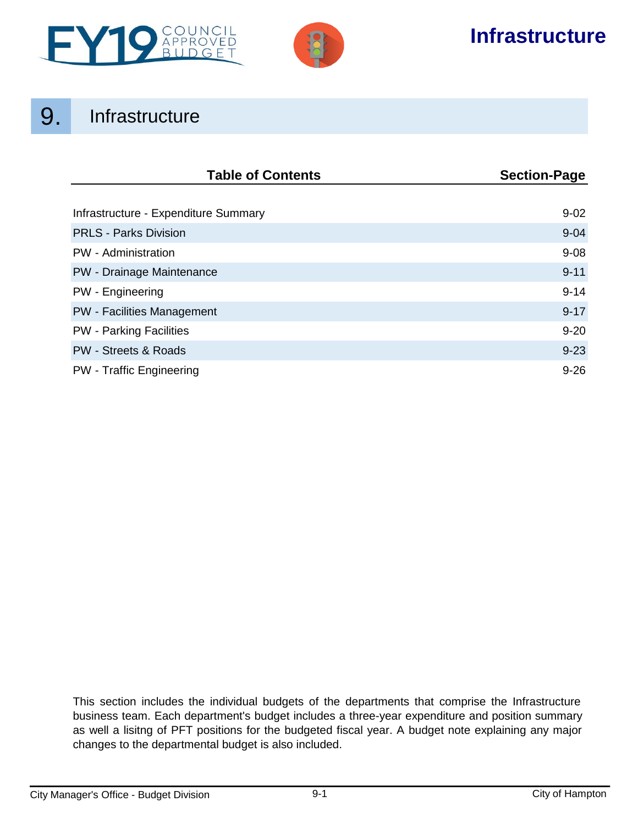



# **Infrastructure**

# 9. Infrastructure

| <b>Table of Contents</b>             | <b>Section-Page</b> |
|--------------------------------------|---------------------|
|                                      |                     |
| Infrastructure - Expenditure Summary | $9 - 02$            |
| <b>PRLS - Parks Division</b>         | $9 - 04$            |
| PW - Administration                  | $9 - 08$            |
| PW - Drainage Maintenance            | $9 - 11$            |
| PW - Engineering                     | $9 - 14$            |
| <b>PW</b> - Facilities Management    | $9 - 17$            |
| <b>PW</b> - Parking Facilities       | $9 - 20$            |
| <b>PW - Streets &amp; Roads</b>      | $9 - 23$            |
| <b>PW</b> - Traffic Engineering      | $9 - 26$            |

This section includes the individual budgets of the departments that comprise the Infrastructure business team. Each department's budget includes a three-year expenditure and position summary as well a lisitng of PFT positions for the budgeted fiscal year. A budget note explaining any major changes to the departmental budget is also included.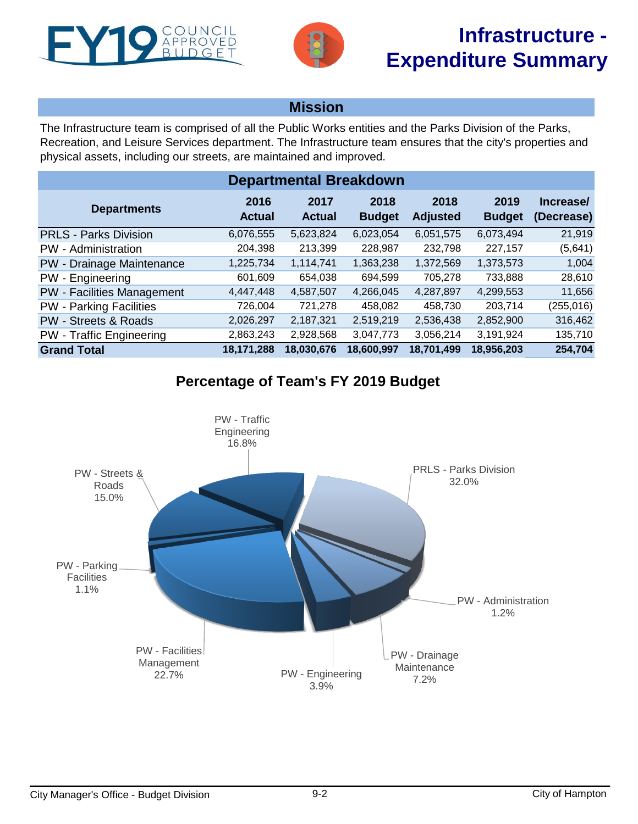<span id="page-1-0"></span>



# **Mission**

The Infrastructure team is comprised of all the Public Works entities and the Parks Division of the Parks, Recreation, and Leisure Services department. The Infrastructure team ensures that the city's properties and physical assets, including our streets, are maintained and improved.

| <b>Departmental Breakdown</b>     |                       |                       |                       |                         |                       |                         |  |  |  |  |
|-----------------------------------|-----------------------|-----------------------|-----------------------|-------------------------|-----------------------|-------------------------|--|--|--|--|
| <b>Departments</b>                | 2016<br><b>Actual</b> | 2017<br><b>Actual</b> | 2018<br><b>Budget</b> | 2018<br><b>Adjusted</b> | 2019<br><b>Budget</b> | Increase/<br>(Decrease) |  |  |  |  |
| <b>PRLS - Parks Division</b>      | 6,076,555             | 5,623,824             | 6,023,054             | 6,051,575               | 6,073,494             | 21,919                  |  |  |  |  |
| PW - Administration               | 204,398               | 213,399               | 228,987               | 232,798                 | 227,157               | (5,641)                 |  |  |  |  |
| PW - Drainage Maintenance         | 1,225,734             | 1,114,741             | 1,363,238             | 1,372,569               | 1,373,573             | 1,004                   |  |  |  |  |
| PW - Engineering                  | 601,609               | 654,038               | 694.599               | 705,278                 | 733,888               | 28,610                  |  |  |  |  |
| <b>PW</b> - Facilities Management | 4,447,448             | 4,587,507             | 4,266,045             | 4,287,897               | 4,299,553             | 11,656                  |  |  |  |  |
| <b>PW</b> - Parking Facilities    | 726,004               | 721,278               | 458,082               | 458,730                 | 203,714               | (255, 016)              |  |  |  |  |
| <b>PW - Streets &amp; Roads</b>   | 2,026,297             | 2,187,321             | 2,519,219             | 2,536,438               | 2,852,900             | 316,462                 |  |  |  |  |
| <b>PW</b> - Traffic Engineering   | 2,863,243             | 2,928,568             | 3,047,773             | 3,056,214               | 3,191,924             | 135,710                 |  |  |  |  |
| <b>Grand Total</b>                | 18,171,288            | 18,030,676            | 18,600,997            | 18,701,499              | 18,956,203            | 254,704                 |  |  |  |  |

# **Percentage of Team's FY 2019 Budget**

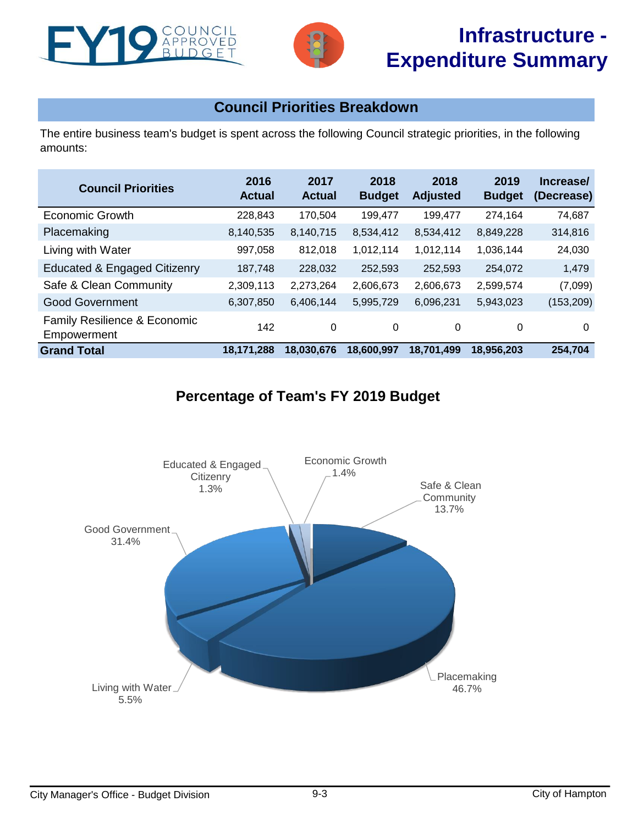



# **Infrastructure - Expenditure Summary**

# **Council Priorities Breakdown**

The entire business team's budget is spent across the following Council strategic priorities, in the following amounts:

| <b>Council Priorities</b>                   | 2016<br><b>Actual</b> | 2017<br><b>Actual</b> | 2018<br><b>Budget</b> | 2018<br><b>Adjusted</b> | 2019<br><b>Budget</b> | Increase/<br>(Decrease) |
|---------------------------------------------|-----------------------|-----------------------|-----------------------|-------------------------|-----------------------|-------------------------|
| Economic Growth                             | 228,843               | 170,504               | 199,477               | 199,477                 | 274,164               | 74,687                  |
| Placemaking                                 | 8,140,535             | 8,140,715             | 8,534,412             | 8,534,412               | 8,849,228             | 314,816                 |
| Living with Water                           | 997,058               | 812,018               | 1,012,114             | 1,012,114               | 1,036,144             | 24,030                  |
| <b>Educated &amp; Engaged Citizenry</b>     | 187,748               | 228,032               | 252,593               | 252,593                 | 254,072               | 1,479                   |
| Safe & Clean Community                      | 2,309,113             | 2,273,264             | 2,606,673             | 2,606,673               | 2,599,574             | (7,099)                 |
| <b>Good Government</b>                      | 6,307,850             | 6,406,144             | 5,995,729             | 6,096,231               | 5,943,023             | (153, 209)              |
| Family Resilience & Economic<br>Empowerment | 142                   | $\Omega$              | 0                     | 0                       | 0                     | 0                       |
| <b>Grand Total</b>                          | 18,171,288            | 18,030,676            | 18,600,997            | 18.701.499              | 18.956.203            | 254,704                 |

# **Percentage of Team's FY 2019 Budget**

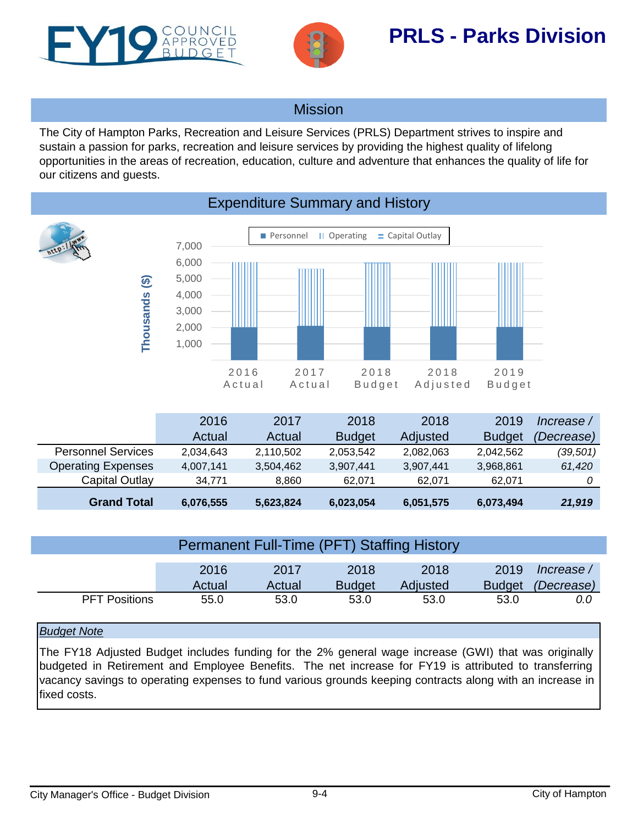<span id="page-3-0"></span>



# **Mission**

The City of Hampton Parks, Recreation and Leisure Services (PRLS) Department strives to inspire and sustain a passion for parks, recreation and leisure services by providing the highest quality of lifelong opportunities in the areas of recreation, education, culture and adventure that enhances the quality of life for our citizens and guests.



# Expenditure Summary and History

| Capital Outlay            | 34.771    | 8.860     | 62.071        | 62.071    | 62.071        |            |
|---------------------------|-----------|-----------|---------------|-----------|---------------|------------|
| <b>Operating Expenses</b> | 4,007,141 | 3,504,462 | 3,907,441     | 3,907,441 | 3,968,861     | 61,420     |
| <b>Personnel Services</b> | 2,034,643 | 2,110,502 | 2,053,542     | 2,082,063 | 2,042,562     | (39, 501)  |
|                           | Actual    | Actual    | <b>Budget</b> | Adjusted  | <b>Budget</b> | (Decrease) |
|                           | 2016      | 2017      | 2018          | 2018      | 2019          | lncrease / |

| Permanent Full-Time (PFT) Staffing History |        |        |               |          |               |            |  |
|--------------------------------------------|--------|--------|---------------|----------|---------------|------------|--|
|                                            |        |        |               |          |               |            |  |
|                                            | 2016   | 2017   | 2018          | 2018     | 2019          | lncrease / |  |
|                                            | Actual | Actual | <b>Budget</b> | Adjusted | <b>Budget</b> | (Decrease) |  |
| <b>PFT Positions</b>                       | 55.0   | 53.0   | 53.0          | 53.0     | 53.0          | 0.0        |  |

## *Budget Note*

The FY18 Adjusted Budget includes funding for the 2% general wage increase (GWI) that was originally budgeted in Retirement and Employee Benefits. The net increase for FY19 is attributed to transferring vacancy savings to operating expenses to fund various grounds keeping contracts along with an increase in fixed costs.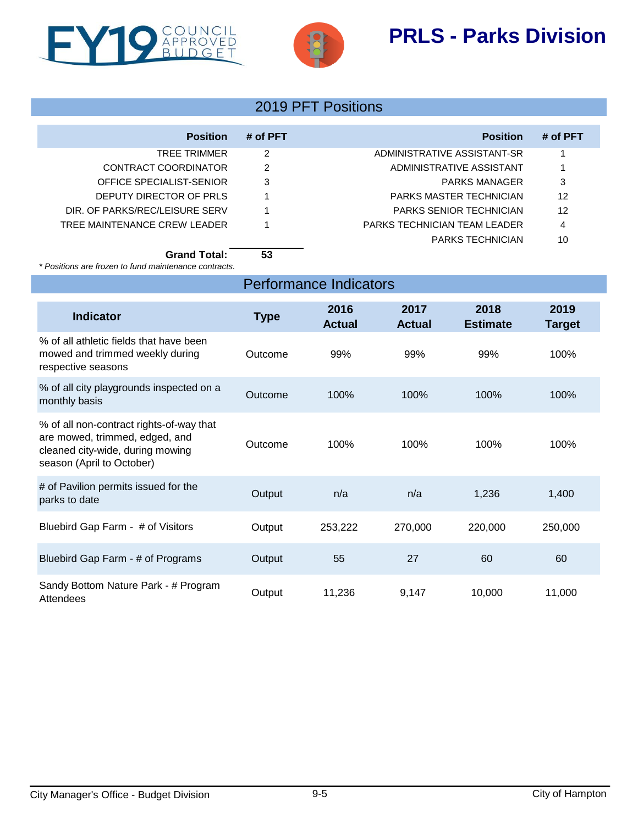



| <b>Position</b>                | # of PFT | <b>Position</b>                | # of PFT |
|--------------------------------|----------|--------------------------------|----------|
| TREE TRIMMER                   | 2        | ADMINISTRATIVE ASSISTANT-SR    |          |
| CONTRACT COORDINATOR           | 2        | ADMINISTRATIVE ASSISTANT       |          |
| OFFICE SPECIALIST-SENIOR       | 3        | <b>PARKS MANAGER</b>           | 3        |
| DEPUTY DIRECTOR OF PRLS        |          | PARKS MASTER TECHNICIAN        | 12       |
| DIR. OF PARKS/REC/LEISURE SERV |          | <b>PARKS SENIOR TECHNICIAN</b> | 12       |
| TREE MAINTENANCE CREW LEADER   |          | PARKS TECHNICIAN TEAM LEADER   | 4        |
|                                |          | <b>PARKS TECHNICIAN</b>        | 10       |
|                                |          |                                |          |

**Grand Total: 53**

*\* Positions are frozen to fund maintenance contracts.*

| <b>Performance Indicators</b> |
|-------------------------------|
|-------------------------------|

| <b>Indicator</b>                                                                                                                            | <b>Type</b> | 2016<br><b>Actual</b> | 2017<br><b>Actual</b> | 2018<br><b>Estimate</b> | 2019<br>Target |
|---------------------------------------------------------------------------------------------------------------------------------------------|-------------|-----------------------|-----------------------|-------------------------|----------------|
| % of all athletic fields that have been<br>mowed and trimmed weekly during<br>respective seasons                                            | Outcome     | 99%                   | 99%                   | 99%                     | 100%           |
| % of all city playgrounds inspected on a<br>monthly basis                                                                                   | Outcome     | 100%                  | 100%                  | 100%                    | 100%           |
| % of all non-contract rights-of-way that<br>are mowed, trimmed, edged, and<br>cleaned city-wide, during mowing<br>season (April to October) | Outcome     | 100%                  | 100%                  | 100%                    | 100%           |
| # of Pavilion permits issued for the<br>parks to date                                                                                       | Output      | n/a                   | n/a                   | 1,236                   | 1,400          |
| Bluebird Gap Farm - # of Visitors                                                                                                           | Output      | 253,222               | 270,000               | 220,000                 | 250,000        |
| Bluebird Gap Farm - # of Programs                                                                                                           | Output      | 55                    | 27                    | 60                      | 60             |
| Sandy Bottom Nature Park - # Program<br>Attendees                                                                                           | Output      | 11,236                | 9,147                 | 10,000                  | 11,000         |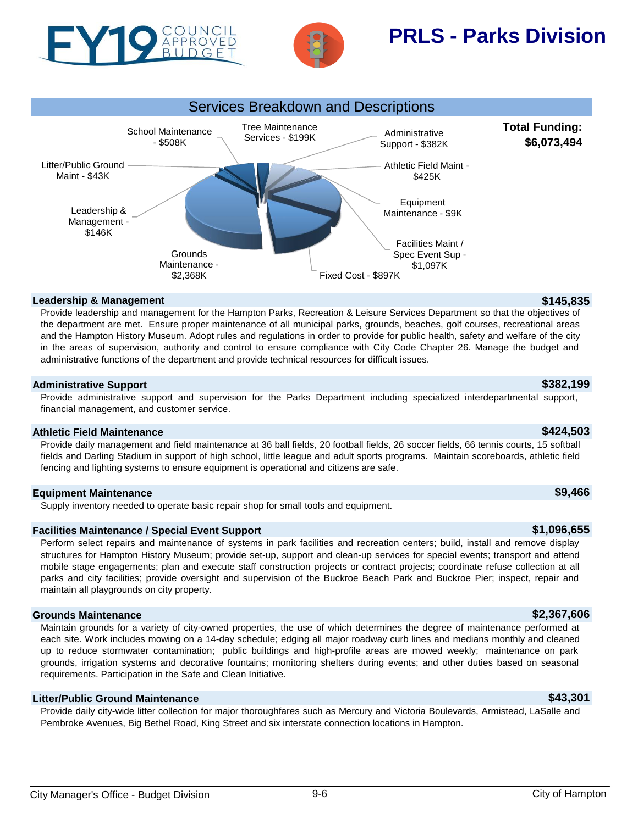





### **Leadership & Management \$145,835**

Provide leadership and management for the Hampton Parks, Recreation & Leisure Services Department so that the objectives of the department are met. Ensure proper maintenance of all municipal parks, grounds, beaches, golf courses, recreational areas and the Hampton History Museum. Adopt rules and regulations in order to provide for public health, safety and welfare of the city in the areas of supervision, authority and control to ensure compliance with City Code Chapter 26. Manage the budget and administrative functions of the department and provide technical resources for difficult issues.

### **Administrative Support \$382,199**

Provide administrative support and supervision for the Parks Department including specialized interdepartmental support, financial management, and customer service.

### **Athletic Field Maintenance \$424,503**

Provide daily management and field maintenance at 36 ball fields, 20 football fields, 26 soccer fields, 66 tennis courts, 15 softball fields and Darling Stadium in support of high school, little league and adult sports programs. Maintain scoreboards, athletic field fencing and lighting systems to ensure equipment is operational and citizens are safe.

## **Equipment Maintenance \$9,466**

Supply inventory needed to operate basic repair shop for small tools and equipment.

## **Facilities Maintenance / Special Event Support 1000 and 1000 and 1000 and 1000 and 1000 and 1000 and 1000 and 1000 and 1000 and 1000 and 1000 and 1000 and 1000 and 1000 and 1000 and 1000 and 1000 and 1000 and 1000 and 1**

Perform select repairs and maintenance of systems in park facilities and recreation centers; build, install and remove display structures for Hampton History Museum; provide set-up, support and clean-up services for special events; transport and attend mobile stage engagements; plan and execute staff construction projects or contract projects; coordinate refuse collection at all parks and city facilities; provide oversight and supervision of the Buckroe Beach Park and Buckroe Pier; inspect, repair and maintain all playgrounds on city property.

### **Grounds Maintenance \$2,367,606**

Maintain grounds for a variety of city-owned properties, the use of which determines the degree of maintenance performed at each site. Work includes mowing on a 14-day schedule; edging all major roadway curb lines and medians monthly and cleaned up to reduce stormwater contamination; public buildings and high-profile areas are mowed weekly; maintenance on park grounds, irrigation systems and decorative fountains; monitoring shelters during events; and other duties based on seasonal requirements. Participation in the Safe and Clean Initiative.

### **Litter/Public Ground Maintenance \$43,301**

Provide daily city-wide litter collection for major thoroughfares such as Mercury and Victoria Boulevards, Armistead, LaSalle and Pembroke Avenues, Big Bethel Road, King Street and six interstate connection locations in Hampton.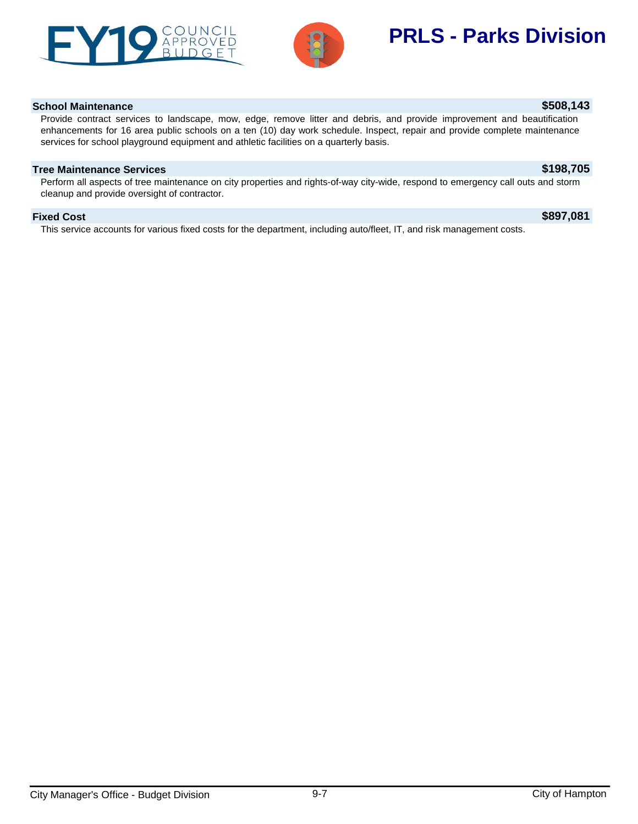



## **School Maintenance \$508,143**

Provide contract services to landscape, mow, edge, remove litter and debris, and provide improvement and beautification enhancements for 16 area public schools on a ten (10) day work schedule. Inspect, repair and provide complete maintenance services for school playground equipment and athletic facilities on a quarterly basis.

## **Tree Maintenance Services \$198,705**

Perform all aspects of tree maintenance on city properties and rights-of-way city-wide, respond to emergency call outs and storm cleanup and provide oversight of contractor.

### **Fixed Cost \$897,081**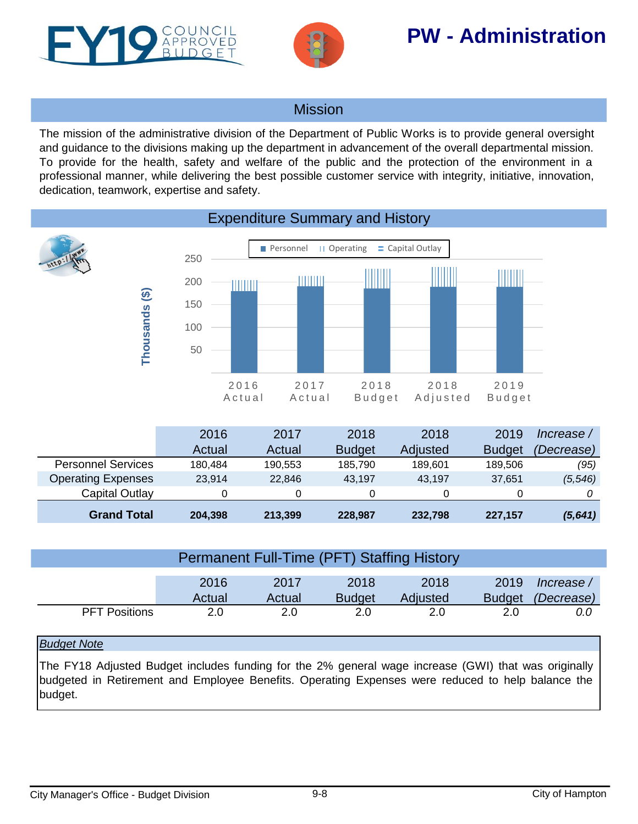<span id="page-7-0"></span>



# **PW - Administration**

# Mission

The mission of the administrative division of the Department of Public Works is to provide general oversight and guidance to the divisions making up the department in advancement of the overall departmental mission. To provide for the health, safety and welfare of the public and the protection of the environment in a professional manner, while delivering the best possible customer service with integrity, initiative, innovation, dedication, teamwork, expertise and safety.



|                           | 2016    | 2017    | 2018          | 2018     | 2019          | lncrease /        |
|---------------------------|---------|---------|---------------|----------|---------------|-------------------|
|                           | Actual  | Actual  | <b>Budget</b> | Adjusted | <b>Budget</b> | <i>(Decrease)</i> |
| <b>Personnel Services</b> | 180.484 | 190.553 | 185.790       | 189.601  | 189,506       | (95)              |
| <b>Operating Expenses</b> | 23.914  | 22,846  | 43.197        | 43.197   | 37.651        | (5, 546)          |
| Capital Outlay            |         |         |               | 0        |               |                   |
| <b>Grand Total</b>        | 204,398 | 213,399 | 228,987       | 232,798  | 227,157       | (5,641)           |

| <b>Permanent Full-Time (PFT) Staffing History</b> |                |                |                       |                  |                       |                          |
|---------------------------------------------------|----------------|----------------|-----------------------|------------------|-----------------------|--------------------------|
|                                                   | 2016<br>Actual | 2017<br>Actual | 2018<br><b>Budget</b> | 2018<br>Adjusted | 2019<br><b>Budget</b> | lncrease /<br>(Decrease) |
| <b>PFT Positions</b>                              | 2.0            | 2.0            | 2.0                   | 2.0              | 2.0                   | 0.0                      |

## *Budget Note*

The FY18 Adjusted Budget includes funding for the 2% general wage increase (GWI) that was originally budgeted in Retirement and Employee Benefits. Operating Expenses were reduced to help balance the budget.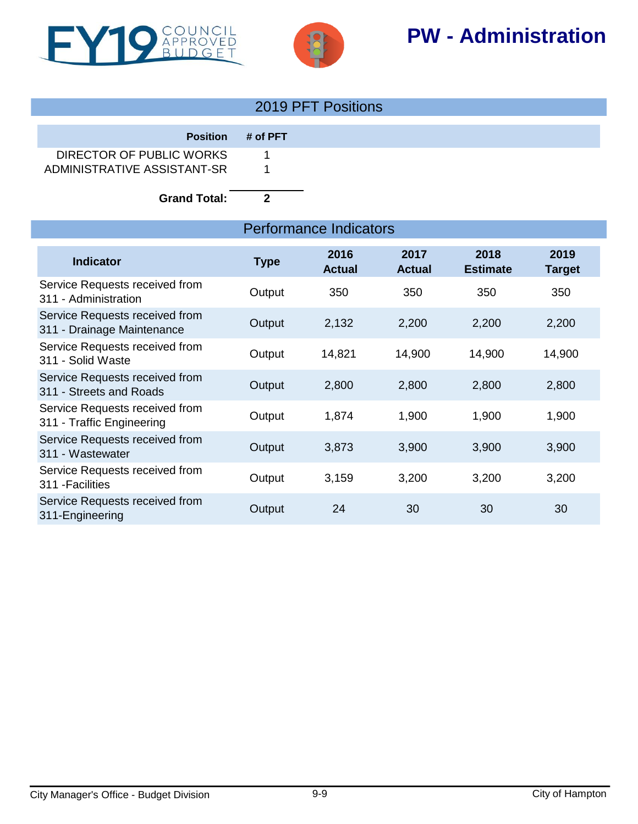



# **PW - Administration**

|                             |                   | 2019 PFT Positions |
|-----------------------------|-------------------|--------------------|
|                             |                   |                    |
|                             | Position # of PFT |                    |
| DIRECTOR OF PUBLIC WORKS    |                   |                    |
| ADMINISTRATIVE ASSISTANT-SR |                   |                    |
|                             |                   |                    |

**Grand Total: 2**

|                                                              | Performance Indicators |                       |                       |                         |                       |  |
|--------------------------------------------------------------|------------------------|-----------------------|-----------------------|-------------------------|-----------------------|--|
| <b>Indicator</b>                                             | <b>Type</b>            | 2016<br><b>Actual</b> | 2017<br><b>Actual</b> | 2018<br><b>Estimate</b> | 2019<br><b>Target</b> |  |
| Service Requests received from<br>311 - Administration       | Output                 | 350                   | 350                   | 350                     | 350                   |  |
| Service Requests received from<br>311 - Drainage Maintenance | Output                 | 2,132                 | 2,200                 | 2,200                   | 2,200                 |  |
| Service Requests received from<br>311 - Solid Waste          | Output                 | 14,821                | 14,900                | 14,900                  | 14,900                |  |
| Service Requests received from<br>311 - Streets and Roads    | Output                 | 2,800                 | 2,800                 | 2,800                   | 2,800                 |  |
| Service Requests received from<br>311 - Traffic Engineering  | Output                 | 1,874                 | 1,900                 | 1,900                   | 1,900                 |  |
| Service Requests received from<br>311 - Wastewater           | Output                 | 3,873                 | 3,900                 | 3,900                   | 3,900                 |  |
| Service Requests received from<br>311 - Facilities           | Output                 | 3,159                 | 3,200                 | 3,200                   | 3,200                 |  |
| Service Requests received from<br>311-Engineering            | Output                 | 24                    | 30                    | 30                      | 30                    |  |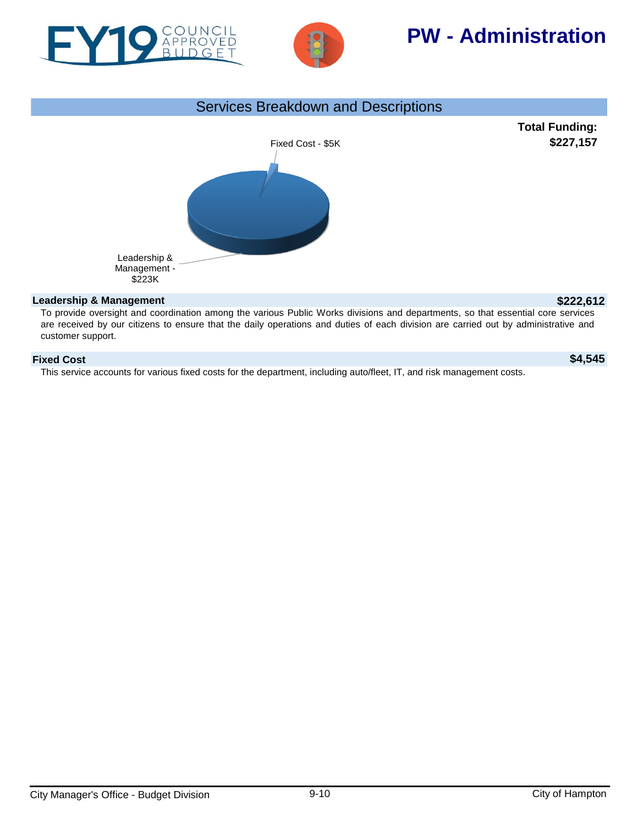



# **PW - Administration**



To provide oversight and coordination among the various Public Works divisions and departments, so that essential core services are received by our citizens to ensure that the daily operations and duties of each division are carried out by administrative and customer support.

## **Fixed Cost \$4,545**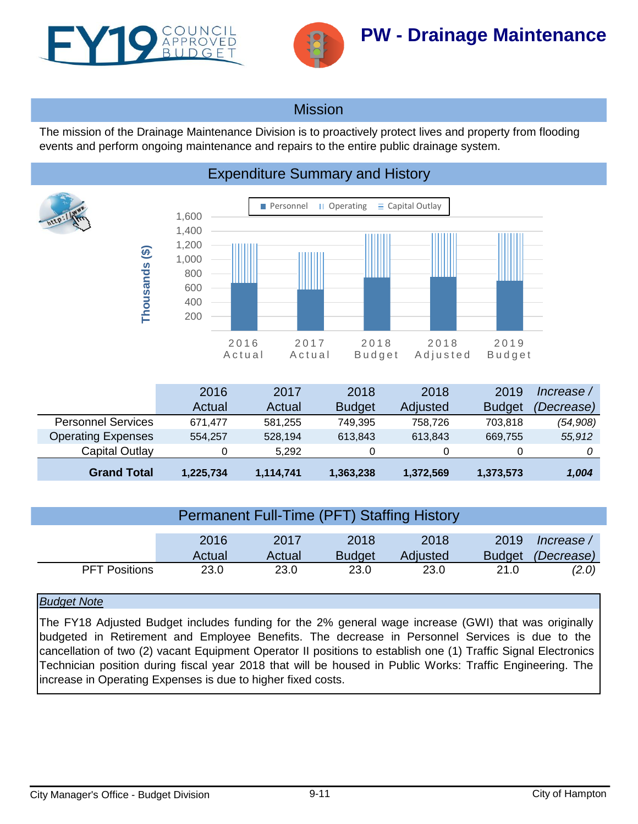<span id="page-10-0"></span>



# Mission

Expenditure Summary and History

The mission of the Drainage Maintenance Division is to proactively protect lives and property from flooding events and perform ongoing maintenance and repairs to the entire public drainage system.

### **Personnel II Operating**  $\equiv$  **Capital Outlay** 1,600 1,400 1,200 Thousands (\$) **Thousands (\$)** 1,000 800 600 400 200 2016 2017 2018 2018 2019 A c t u a l A c t u a l B u d g e t A d j u s t e d B u d g e t

|                           | 2016      | 2017      | 2018          | 2018      | 2019          | lncrease / |
|---------------------------|-----------|-----------|---------------|-----------|---------------|------------|
|                           | Actual    | Actual    | <b>Budget</b> | Adjusted  | <b>Budget</b> | (Decrease) |
| <b>Personnel Services</b> | 671.477   | 581.255   | 749,395       | 758.726   | 703.818       | (54,908)   |
| <b>Operating Expenses</b> | 554.257   | 528,194   | 613,843       | 613.843   | 669.755       | 55,912     |
| Capital Outlay            |           | 5.292     |               | 0         |               |            |
| <b>Grand Total</b>        | 1,225,734 | 1,114,741 | 1,363,238     | 1,372,569 | 1,373,573     | 1,004      |

|                      | 2016<br>Actual | 2017<br>Actual | 2018<br><b>Budget</b> | 2018<br>Adjusted | 2019<br><b>Budget</b> | lncrease /<br>(Decrease) |
|----------------------|----------------|----------------|-----------------------|------------------|-----------------------|--------------------------|
| <b>PFT Positions</b> | 23.0           | 23.0           | 23.0                  | 23.0             | 21.0                  | (2.0)                    |

## *Budget Note*

The FY18 Adjusted Budget includes funding for the 2% general wage increase (GWI) that was originally budgeted in Retirement and Employee Benefits. The decrease in Personnel Services is due to the cancellation of two (2) vacant Equipment Operator II positions to establish one (1) Traffic Signal Electronics Technician position during fiscal year 2018 that will be housed in Public Works: Traffic Engineering. The increase in Operating Expenses is due to higher fixed costs.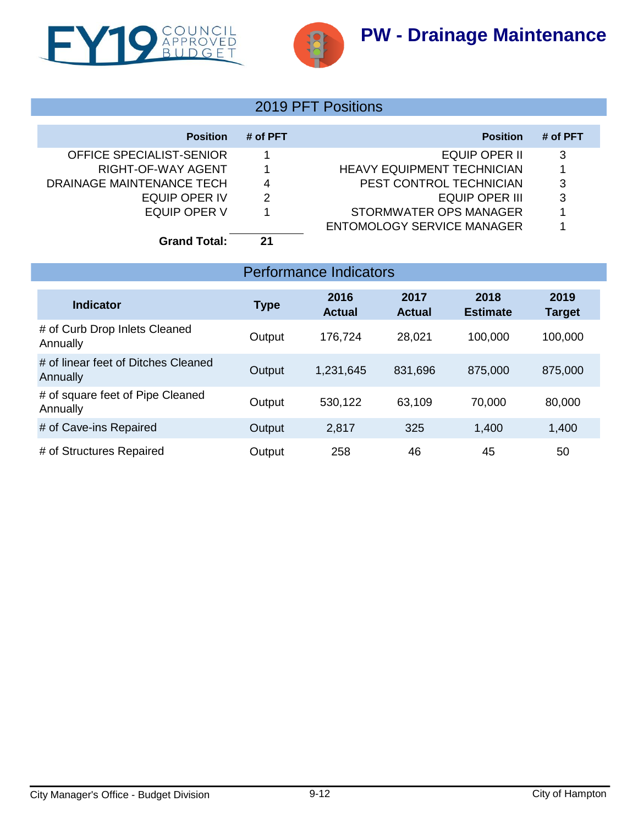



# 2019 PFT Positions

| <b>Position</b>           | # of PFT | <b>Position</b>                   | # of PFT |
|---------------------------|----------|-----------------------------------|----------|
| OFFICE SPECIALIST-SENIOR  |          | EQUIP OPER II                     | 3        |
| RIGHT-OF-WAY AGENT        |          | <b>HEAVY EQUIPMENT TECHNICIAN</b> |          |
| DRAINAGE MAINTENANCE TECH | 4        | PEST CONTROL TECHNICIAN           | 3        |
| EQUIP OPER IV             | 2        | EQUIP OPER III                    | 3        |
| EQUIP OPER V              |          | STORMWATER OPS MANAGER            |          |
|                           |          | ENTOMOLOGY SERVICE MANAGER        |          |
| <b>Grand Total:</b>       | 21       |                                   |          |

| <b>Performance Indicators</b>                   |             |                       |                       |                         |                       |  |  |  |  |
|-------------------------------------------------|-------------|-----------------------|-----------------------|-------------------------|-----------------------|--|--|--|--|
| <b>Indicator</b>                                | <b>Type</b> | 2016<br><b>Actual</b> | 2017<br><b>Actual</b> | 2018<br><b>Estimate</b> | 2019<br><b>Target</b> |  |  |  |  |
| # of Curb Drop Inlets Cleaned<br>Annually       | Output      | 176,724               | 28,021                | 100,000                 | 100,000               |  |  |  |  |
| # of linear feet of Ditches Cleaned<br>Annually | Output      | 1,231,645             | 831,696               | 875,000                 | 875,000               |  |  |  |  |
| # of square feet of Pipe Cleaned<br>Annually    | Output      | 530,122               | 63,109                | 70,000                  | 80,000                |  |  |  |  |
| # of Cave-ins Repaired                          | Output      | 2,817                 | 325                   | 1,400                   | 1,400                 |  |  |  |  |
| # of Structures Repaired                        | Output      | 258                   | 46                    | 45                      | 50                    |  |  |  |  |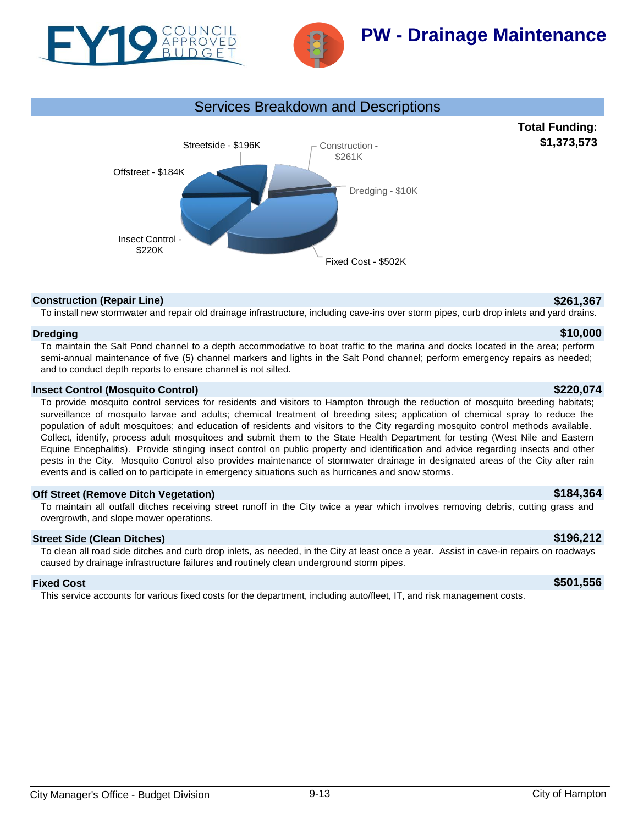



# **PW - Drainage Maintenance**



## **Construction (Repair Line) \$261,367**

**Total Funding: \$1,373,573**

To install new stormwater and repair old drainage infrastructure, including cave-ins over storm pipes, curb drop inlets and yard drains.

### **Dredging \$10,000**

To maintain the Salt Pond channel to a depth accommodative to boat traffic to the marina and docks located in the area; perform semi-annual maintenance of five (5) channel markers and lights in the Salt Pond channel; perform emergency repairs as needed; and to conduct depth reports to ensure channel is not silted.

## **Insect Control (Mosquito Control) \$220,074**

To provide mosquito control services for residents and visitors to Hampton through the reduction of mosquito breeding habitats; surveillance of mosquito larvae and adults; chemical treatment of breeding sites; application of chemical spray to reduce the population of adult mosquitoes; and education of residents and visitors to the City regarding mosquito control methods available. Collect, identify, process adult mosquitoes and submit them to the State Health Department for testing (West Nile and Eastern Equine Encephalitis). Provide stinging insect control on public property and identification and advice regarding insects and other pests in the City. Mosquito Control also provides maintenance of stormwater drainage in designated areas of the City after rain events and is called on to participate in emergency situations such as hurricanes and snow storms.

## **Off Street (Remove Ditch Vegetation) \$184,364**

To maintain all outfall ditches receiving street runoff in the City twice a year which involves removing debris, cutting grass and overgrowth, and slope mower operations.

## **Street Side (Clean Ditches) \$196,212**

To clean all road side ditches and curb drop inlets, as needed, in the City at least once a year. Assist in cave-in repairs on roadways caused by drainage infrastructure failures and routinely clean underground storm pipes.

### **Fixed Cost \$501,556**

This service accounts for various fixed costs for the department, including auto/fleet, IT, and risk management costs.

# City Manager's Office - Budget Division 9-13 City of Hampton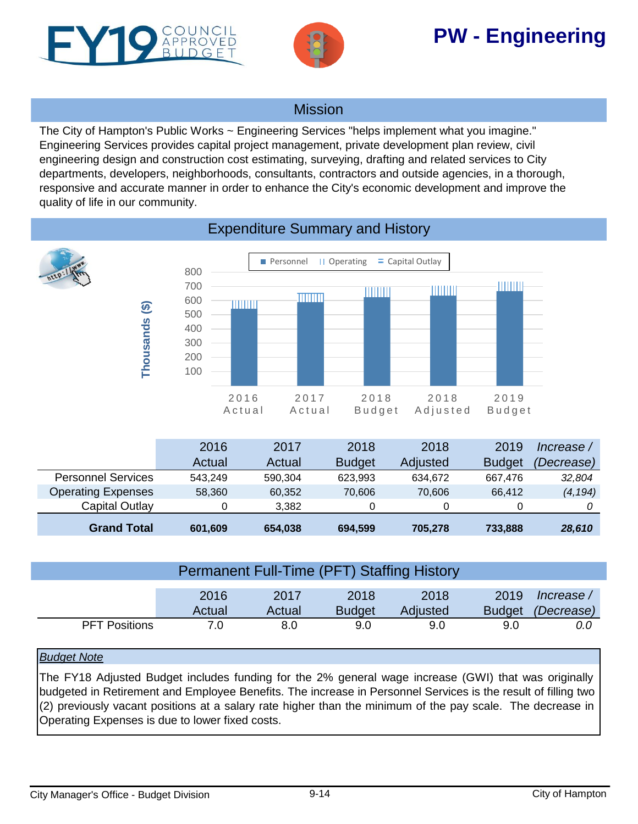<span id="page-13-0"></span>



# **PW - Engineering**

# Mission

The City of Hampton's Public Works ~ Engineering Services "helps implement what you imagine." Engineering Services provides capital project management, private development plan review, civil engineering design and construction cost estimating, surveying, drafting and related services to City departments, developers, neighborhoods, consultants, contractors and outside agencies, in a thorough, responsive and accurate manner in order to enhance the City's economic development and improve the quality of life in our community.



|                      | <b>Permanent Full-Time (PFT) Staffing History</b> |                |                       |                  |                       |                          |
|----------------------|---------------------------------------------------|----------------|-----------------------|------------------|-----------------------|--------------------------|
|                      | 2016<br>Actual                                    | 2017<br>Actual | 2018<br><b>Budget</b> | 2018<br>Adjusted | 2019<br><b>Budget</b> | Increase /<br>(Decrease) |
| <b>PFT Positions</b> | 7.0                                               | 8.0            | 9.0                   | 9.0              | 9.0                   | 0.0                      |

## *Budget Note*

The FY18 Adjusted Budget includes funding for the 2% general wage increase (GWI) that was originally budgeted in Retirement and Employee Benefits. The increase in Personnel Services is the result of filling two (2) previously vacant positions at a salary rate higher than the minimum of the pay scale. The decrease in Operating Expenses is due to lower fixed costs.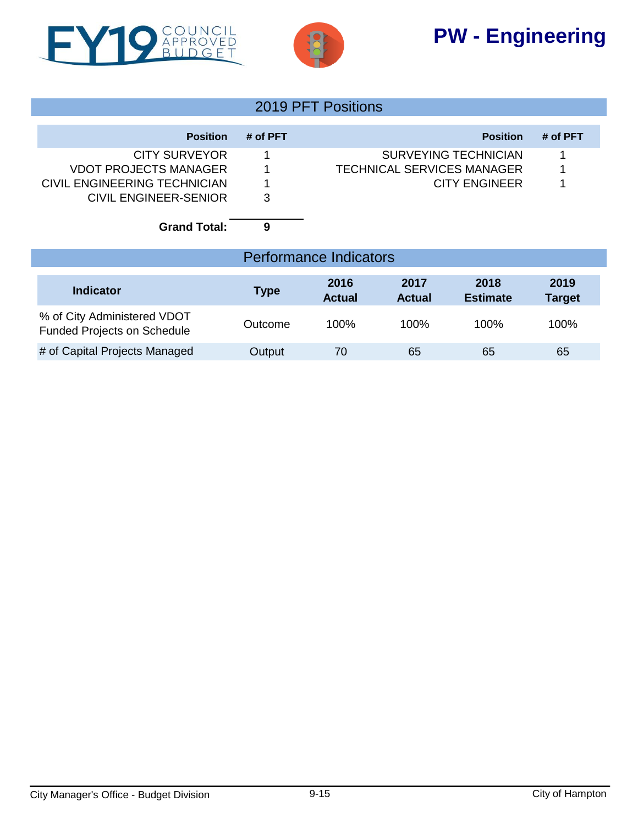# **PW - Engineering**





# 2019 PFT Positions

| <b>Position</b>              | # of PFT | <b>Position</b>                   | # of PFT |
|------------------------------|----------|-----------------------------------|----------|
| <b>CITY SURVEYOR</b>         |          | <b>SURVEYING TECHNICIAN</b>       |          |
| <b>VDOT PROJECTS MANAGER</b> |          | <b>TECHNICAL SERVICES MANAGER</b> |          |
| CIVIL ENGINEERING TECHNICIAN | 1        | <b>CITY ENGINEER</b>              |          |
| CIVIL ENGINEER-SENIOR        | 3        |                                   |          |
| <b>Grand Total:</b>          | 9        |                                   |          |

| <b>Performance Indicators</b>                                     |         |                       |                       |                         |                       |  |  |  |  |  |
|-------------------------------------------------------------------|---------|-----------------------|-----------------------|-------------------------|-----------------------|--|--|--|--|--|
| Indicator                                                         | Type    | 2016<br><b>Actual</b> | 2017<br><b>Actual</b> | 2018<br><b>Estimate</b> | 2019<br><b>Target</b> |  |  |  |  |  |
| % of City Administered VDOT<br><b>Funded Projects on Schedule</b> | Outcome | $100\%$               | 100%                  | 100%                    | 100%                  |  |  |  |  |  |
| # of Capital Projects Managed                                     | Output  | 70                    | 65                    | 65                      | 65                    |  |  |  |  |  |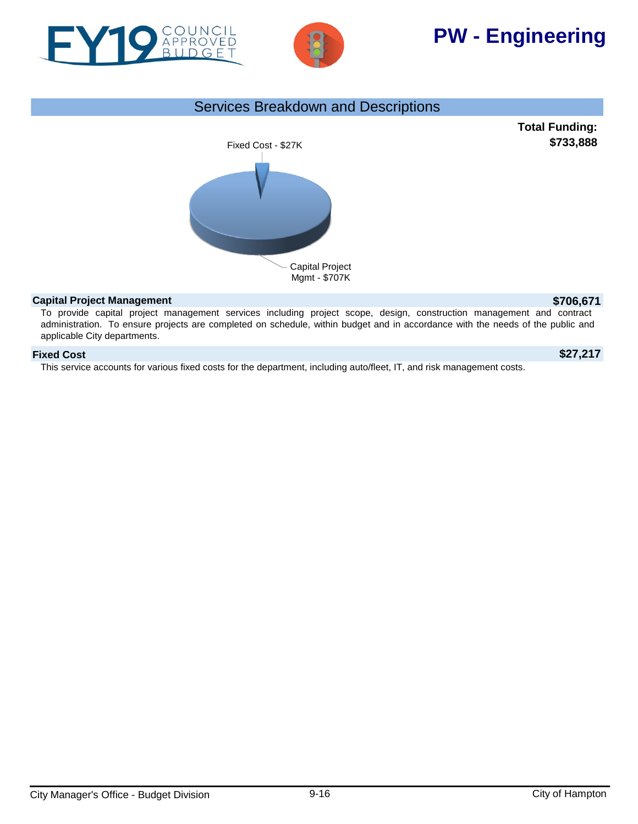



# **PW - Engineering**

# Services Breakdown and Descriptions



### **Capital Project Management \$706,671**

To provide capital project management services including project scope, design, construction management and contract administration. To ensure projects are completed on schedule, within budget and in accordance with the needs of the public and applicable City departments.

## **Fixed Cost \$27,217**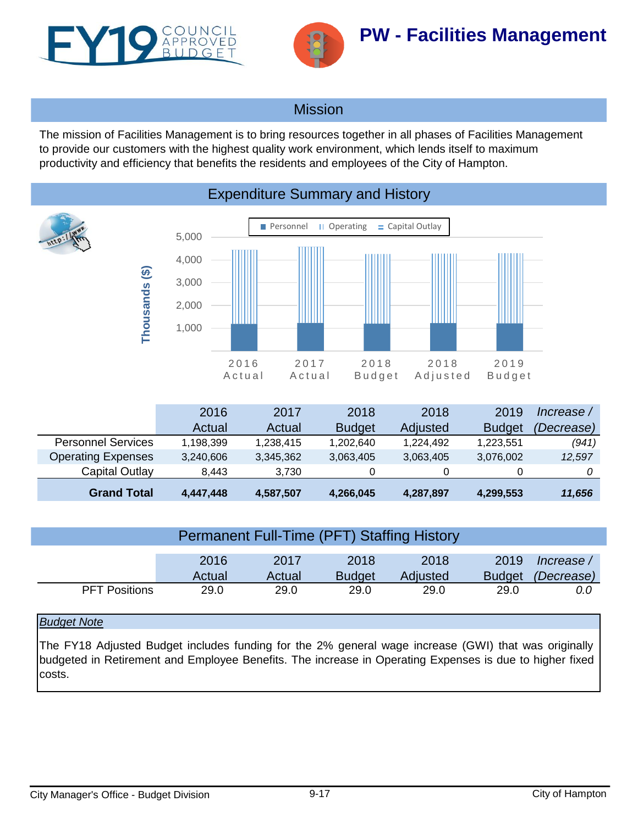<span id="page-16-0"></span>



# Mission

The mission of Facilities Management is to bring resources together in all phases of Facilities Management to provide our customers with the highest quality work environment, which lends itself to maximum productivity and efficiency that benefits the residents and employees of the City of Hampton.



|                           | Actual    | Actual    | <b>Budget</b> | Adjusted  | <b>Budget</b> | (Decrease) |
|---------------------------|-----------|-----------|---------------|-----------|---------------|------------|
| <b>Personnel Services</b> | 1.198.399 | 1.238.415 | 1,202,640     | 1.224.492 | 1.223.551     | (941)      |
| <b>Operating Expenses</b> | 3,240,606 | 3,345,362 | 3,063,405     | 3,063,405 | 3,076,002     | 12,597     |
| Capital Outlay            | 8.443     | 3.730     |               |           |               |            |
| <b>Grand Total</b>        | 4,447,448 | 4,587,507 | 4,266,045     | 4,287,897 | 4,299,553     | 11,656     |

| Permanent Full-Time (PFT) Staffing History |                |                |                       |                  |                       |                   |  |  |  |
|--------------------------------------------|----------------|----------------|-----------------------|------------------|-----------------------|-------------------|--|--|--|
|                                            | 2016           | 2017           | 2018                  | 2018             | 2019                  | lncrease /        |  |  |  |
| <b>PFT Positions</b>                       | Actual<br>29.0 | Actual<br>29.0 | <b>Budget</b><br>29.0 | Adjusted<br>29.0 | <b>Budget</b><br>29.0 | (Decrease)<br>0.0 |  |  |  |

## *Budget Note*

The FY18 Adjusted Budget includes funding for the 2% general wage increase (GWI) that was originally budgeted in Retirement and Employee Benefits. The increase in Operating Expenses is due to higher fixed costs.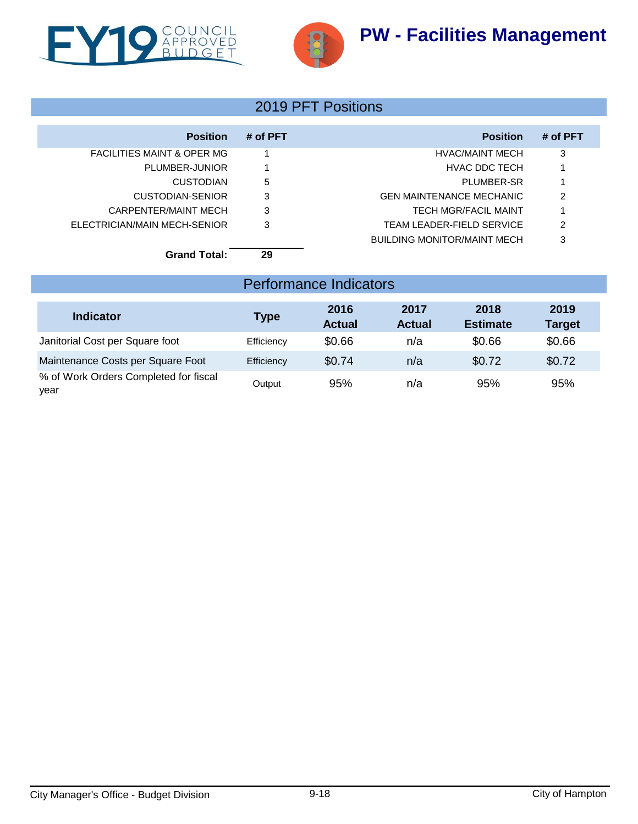

# 2019 PFT Positions

| <b>Position</b>                       | # of PFT | <b>Position</b>                 | # of PFT |
|---------------------------------------|----------|---------------------------------|----------|
| <b>FACILITIES MAINT &amp; OPER MG</b> |          | HVAC/MAINT MECH                 | 3        |
| PLUMBER-JUNIOR                        |          | HVAC DDC TECH                   |          |
| <b>CUSTODIAN</b>                      | 5        | PLUMBER-SR                      |          |
| CUSTODIAN-SENIOR                      | 3        | <b>GEN MAINTENANCE MECHANIC</b> | 2        |
| CARPENTER/MAINT MECH                  | 3        | <b>TECH MGR/FACIL MAINT</b>     |          |
| ELECTRICIAN/MAIN MECH-SENIOR          | 3        | TEAM LEADER-FIELD SERVICE       | 2        |
|                                       |          | BUILDING MONITOR/MAINT MECH     | 3        |
| <b>Grand Total:</b>                   | 29       |                                 |          |

# Performance Indicators

| <b>Indicator</b>                              | <b>Type</b> | 2016<br><b>Actual</b> | 2017<br><b>Actual</b> | 2018<br><b>Estimate</b> | 2019<br><b>Target</b> |
|-----------------------------------------------|-------------|-----------------------|-----------------------|-------------------------|-----------------------|
| Janitorial Cost per Square foot               | Efficiency  | \$0.66                | n/a                   | \$0.66                  | \$0.66                |
| Maintenance Costs per Square Foot             | Efficiency  | \$0.74                | n/a                   | \$0.72                  | \$0.72                |
| % of Work Orders Completed for fiscal<br>year | Output      | 95%                   | n/a                   | 95%                     | 95%                   |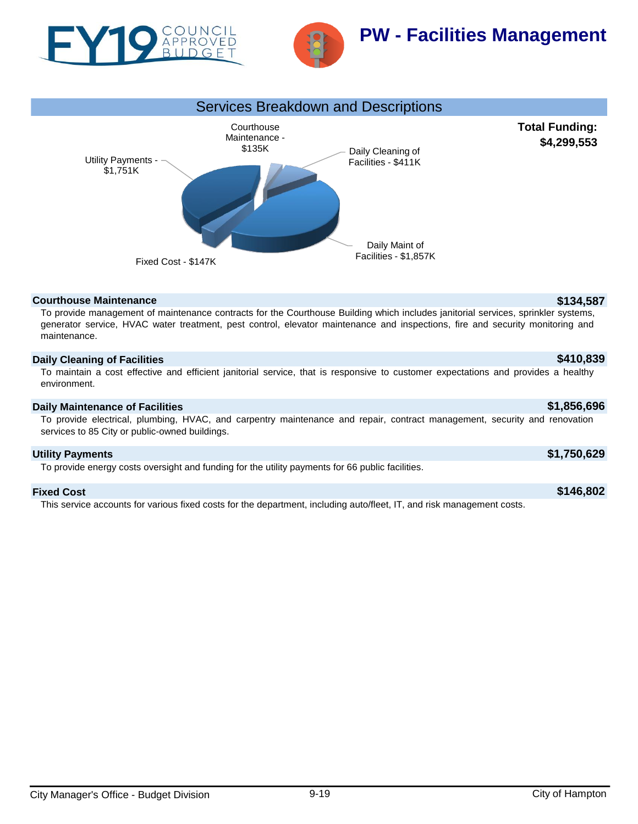



# **PW - Facilities Management**



### **Courthouse Maintenance \$134,587**

To provide management of maintenance contracts for the Courthouse Building which includes janitorial services, sprinkler systems, generator service, HVAC water treatment, pest control, elevator maintenance and inspections, fire and security monitoring and maintenance.

### **Daily Cleaning of Facilities \$410,839**

To maintain a cost effective and efficient janitorial service, that is responsive to customer expectations and provides a healthy environment.

### **Daily Maintenance of Facilities \$1,856,696**

To provide electrical, plumbing, HVAC, and carpentry maintenance and repair, contract management, security and renovation services to 85 City or public-owned buildings.

### **Utility Payments \$1,750,629**

To provide energy costs oversight and funding for the utility payments for 66 public facilities.

### **Fixed Cost \$146,802**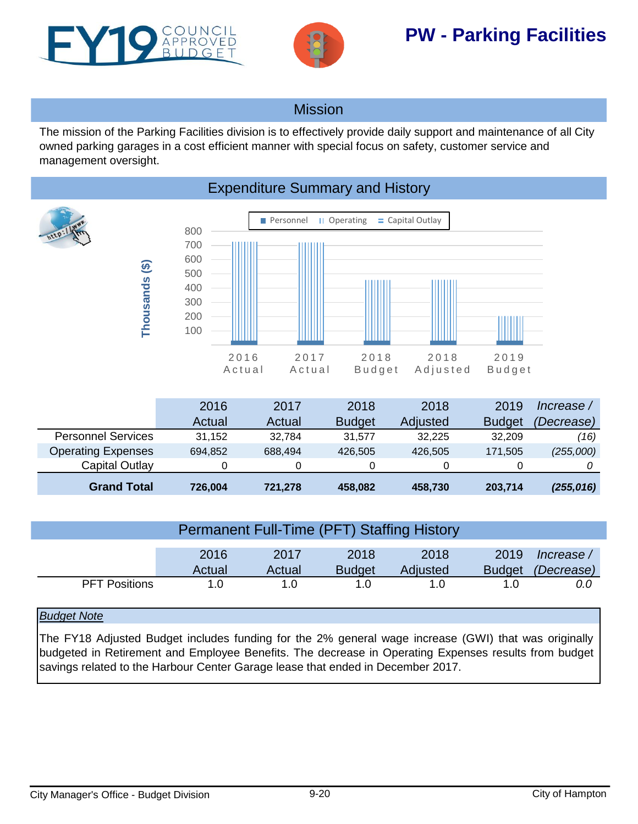<span id="page-19-0"></span>



# **PW - Parking Facilities**

# Mission

The mission of the Parking Facilities division is to effectively provide daily support and maintenance of all City owned parking garages in a cost efficient manner with special focus on safety, customer service and management oversight.



|                           | 2016    | 2017    | 2018          | 2018     | 2019          | lncrease / |
|---------------------------|---------|---------|---------------|----------|---------------|------------|
|                           | Actual  | Actual  | <b>Budget</b> | Adjusted | <b>Budget</b> | (Decrease) |
| <b>Personnel Services</b> | 31.152  | 32.784  | 31.577        | 32.225   | 32,209        | (16)       |
| <b>Operating Expenses</b> | 694,852 | 688.494 | 426,505       | 426,505  | 171.505       | (255,000)  |
| Capital Outlay            |         |         |               | O        |               |            |
| <b>Grand Total</b>        | 726,004 | 721,278 | 458,082       | 458,730  | 203,714       | (255,016)  |

| Permanent Full-Time (PFT) Staffing History |                |                |                       |                  |                       |                          |  |
|--------------------------------------------|----------------|----------------|-----------------------|------------------|-----------------------|--------------------------|--|
|                                            | 2016<br>Actual | 2017<br>Actual | 2018<br><b>Budget</b> | 2018<br>Adjusted | 2019<br><b>Budget</b> | Increase /<br>(Decrease) |  |
| <b>PFT Positions</b>                       | 1. $\Omega$    | 1. $\Omega$    | 1.0                   |                  | 1. $\Omega$           | 0.0                      |  |

## *Budget Note*

The FY18 Adjusted Budget includes funding for the 2% general wage increase (GWI) that was originally budgeted in Retirement and Employee Benefits. The decrease in Operating Expenses results from budget savings related to the Harbour Center Garage lease that ended in December 2017.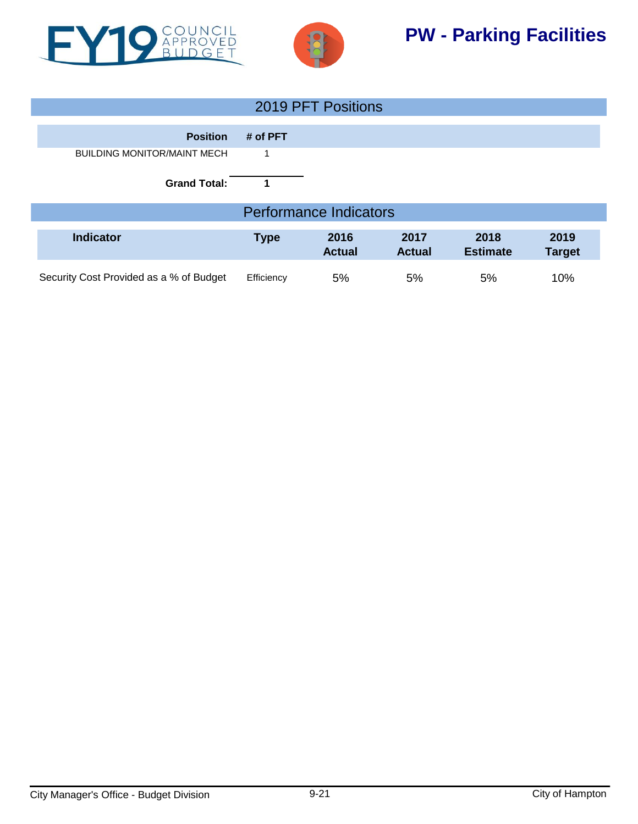



# **PW - Parking Facilities**

| 2019 PFT Positions                      |             |                               |                       |                         |                       |  |
|-----------------------------------------|-------------|-------------------------------|-----------------------|-------------------------|-----------------------|--|
| <b>Position</b>                         | # of PFT    |                               |                       |                         |                       |  |
| <b>BUILDING MONITOR/MAINT MECH</b>      | 1           |                               |                       |                         |                       |  |
| <b>Grand Total:</b>                     |             |                               |                       |                         |                       |  |
|                                         |             | <b>Performance Indicators</b> |                       |                         |                       |  |
| <b>Indicator</b>                        | <b>Type</b> | 2016<br><b>Actual</b>         | 2017<br><b>Actual</b> | 2018<br><b>Estimate</b> | 2019<br><b>Target</b> |  |
| Security Cost Provided as a % of Budget | Efficiency  | 5%                            | 5%                    | 5%                      | 10%                   |  |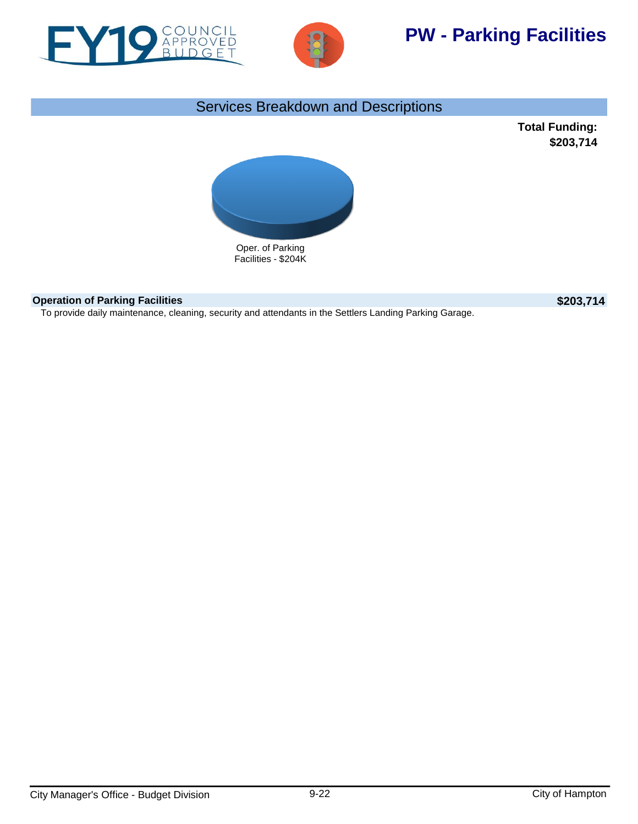



# **PW - Parking Facilities**

# Services Breakdown and Descriptions

**Total Funding: \$203,714**



## **Operation of Parking Facilities \$203,714**

To provide daily maintenance, cleaning, security and attendants in the Settlers Landing Parking Garage.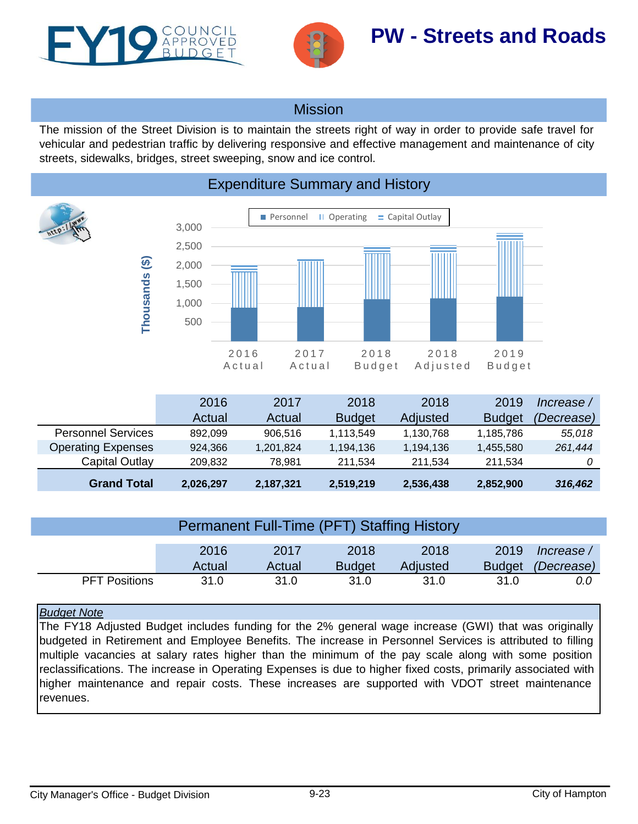<span id="page-22-0"></span>



# **PW - Streets and Roads**

# Mission

The mission of the Street Division is to maintain the streets right of way in order to provide safe travel for vehicular and pedestrian traffic by delivering responsive and effective management and maintenance of city streets, sidewalks, bridges, street sweeping, snow and ice control.



|                           | 2016      | 2017      | 2018          | 2018      | 2019          | lncrease / |
|---------------------------|-----------|-----------|---------------|-----------|---------------|------------|
|                           | Actual    | Actual    | <b>Budget</b> | Adjusted  | <b>Budget</b> | (Decrease) |
| <b>Personnel Services</b> | 892.099   | 906.516   | 1,113,549     | 1,130,768 | 1,185,786     | 55,018     |
| <b>Operating Expenses</b> | 924.366   | 1,201,824 | 1,194,136     | 1,194,136 | 1,455,580     | 261,444    |
| Capital Outlay            | 209.832   | 78.981    | 211.534       | 211.534   | 211.534       |            |
| <b>Grand Total</b>        | 2,026,297 | 2,187,321 | 2,519,219     | 2,536,438 | 2,852,900     | 316,462    |

| <b>Permanent Full-Time (PFT) Staffing History</b> |                |                |                       |                  |                       |                          |  |
|---------------------------------------------------|----------------|----------------|-----------------------|------------------|-----------------------|--------------------------|--|
|                                                   | 2016<br>Actual | 2017<br>Actual | 2018<br><b>Budget</b> | 2018<br>Adjusted | 2019<br><b>Budget</b> | Increase /<br>(Decrease) |  |
| <b>PFT Positions</b>                              | 31.0           | 31.0           | 31.0                  | 31.0             | 31.0                  | 0.0                      |  |

## *Budget Note*

The FY18 Adjusted Budget includes funding for the 2% general wage increase (GWI) that was originally budgeted in Retirement and Employee Benefits. The increase in Personnel Services is attributed to filling multiple vacancies at salary rates higher than the minimum of the pay scale along with some position reclassifications. The increase in Operating Expenses is due to higher fixed costs, primarily associated with higher maintenance and repair costs. These increases are supported with VDOT street maintenance revenues.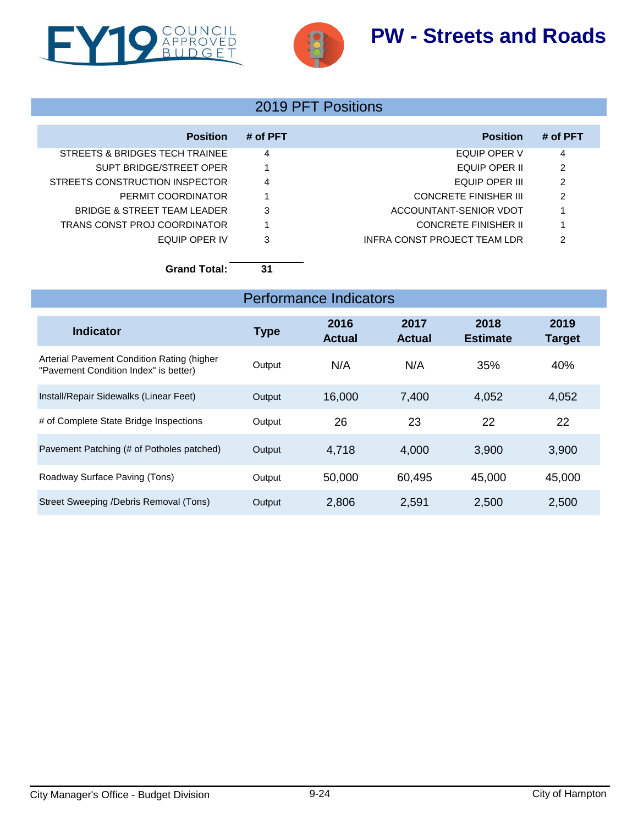# **PW - Streets and Roads**





# 2019 PFT Positions

| <b>Position</b>                | # of PFT | <b>Position</b>              | # of PFT |
|--------------------------------|----------|------------------------------|----------|
| STREETS & BRIDGES TECH TRAINEE | 4        | EQUIP OPER V                 | 4        |
| SUPT BRIDGE/STREET OPER        |          | EQUIP OPER II                | 2        |
| STREETS CONSTRUCTION INSPECTOR | 4        | EQUIP OPER III               | 2        |
| PERMIT COORDINATOR             |          | <b>CONCRETE FINISHER III</b> | 2        |
| BRIDGE & STREET TEAM LEADER    | 3        | ACCOUNTANT-SENIOR VDOT       |          |
| TRANS CONST PROJ COORDINATOR   |          | CONCRETE FINISHER II         |          |
| FOUIP OPER IV                  | 3        | INFRA CONST PROJECT TEAM LDR | 2        |

**Grand Total: 31**

| <b>Indicator</b>                                                                    | <b>Type</b> | 2016<br><b>Actual</b> | 2017<br><b>Actual</b> | 2018<br><b>Estimate</b> | 2019<br><b>Target</b> |
|-------------------------------------------------------------------------------------|-------------|-----------------------|-----------------------|-------------------------|-----------------------|
| Arterial Pavement Condition Rating (higher<br>"Pavement Condition Index" is better) | Output      | N/A                   | N/A                   | 35%                     | 40%                   |
| Install/Repair Sidewalks (Linear Feet)                                              | Output      | 16,000                | 7,400                 | 4,052                   | 4,052                 |
| # of Complete State Bridge Inspections                                              | Output      | 26                    | 23                    | 22                      | 22                    |
| Pavement Patching (# of Potholes patched)                                           | Output      | 4,718                 | 4,000                 | 3,900                   | 3,900                 |
| Roadway Surface Paving (Tons)                                                       | Output      | 50,000                | 60,495                | 45,000                  | 45,000                |
| Street Sweeping /Debris Removal (Tons)                                              | Output      | 2,806                 | 2,591                 | 2,500                   | 2,500                 |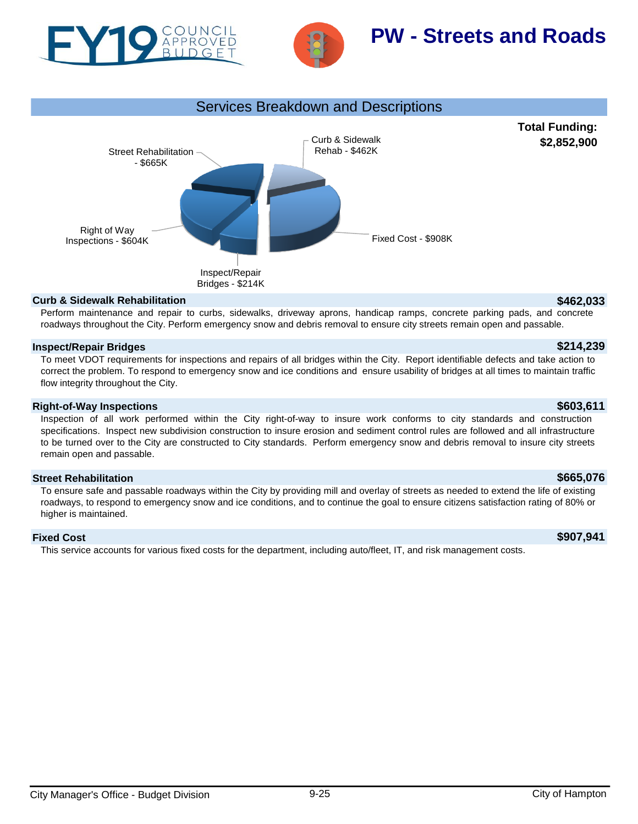



# **PW - Streets and Roads**



### **Curb & Sidewalk Rehabilitation \$462,033**

Perform maintenance and repair to curbs, sidewalks, driveway aprons, handicap ramps, concrete parking pads, and concrete roadways throughout the City. Perform emergency snow and debris removal to ensure city streets remain open and passable.

### **Inspect/Repair Bridges \$214,239**

To meet VDOT requirements for inspections and repairs of all bridges within the City. Report identifiable defects and take action to correct the problem. To respond to emergency snow and ice conditions and ensure usability of bridges at all times to maintain traffic flow integrity throughout the City.

### **Right-of-Way Inspections \$603,611**

Inspection of all work performed within the City right-of-way to insure work conforms to city standards and construction specifications. Inspect new subdivision construction to insure erosion and sediment control rules are followed and all infrastructure to be turned over to the City are constructed to City standards. Perform emergency snow and debris removal to insure city streets remain open and passable.

### **Street Rehabilitation \$665,076**

To ensure safe and passable roadways within the City by providing mill and overlay of streets as needed to extend the life of existing roadways, to respond to emergency snow and ice conditions, and to continue the goal to ensure citizens satisfaction rating of 80% or higher is maintained.

## **Fixed Cost \$907,941**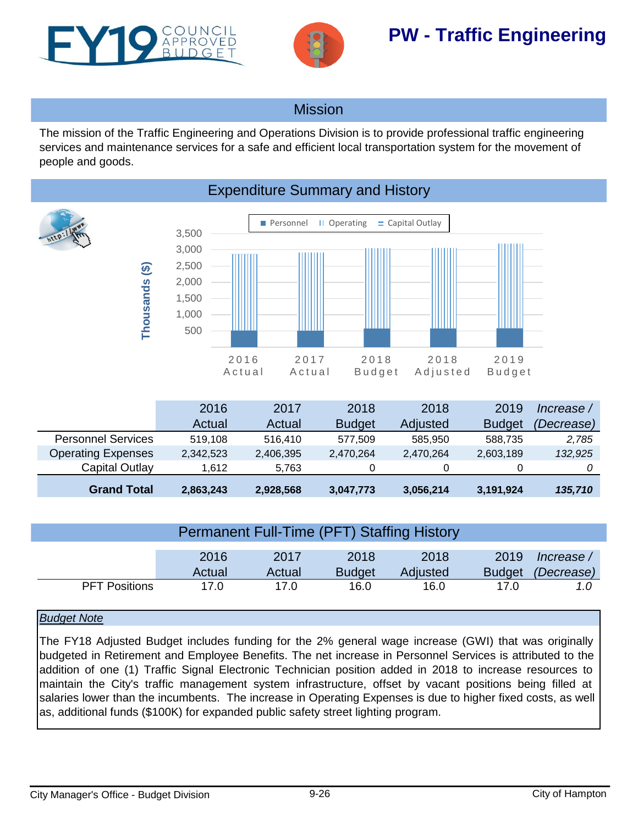<span id="page-25-0"></span>



# **PW - Traffic Engineering**

# Mission

The mission of the Traffic Engineering and Operations Division is to provide professional traffic engineering services and maintenance services for a safe and efficient local transportation system for the movement of people and goods.



|                           | 2016      | 2017      | 2018          | 2018      | 2019          | Increase / |
|---------------------------|-----------|-----------|---------------|-----------|---------------|------------|
|                           | Actual    | Actual    | <b>Budget</b> | Adjusted  | <b>Budget</b> | (Decrease) |
| <b>Personnel Services</b> | 519.108   | 516.410   | 577.509       | 585.950   | 588.735       | 2,785      |
| <b>Operating Expenses</b> | 2,342,523 | 2,406,395 | 2,470,264     | 2,470,264 | 2,603,189     | 132,925    |
| Capital Outlay            | 1.612     | 5.763     | 0             | 0         |               |            |
| <b>Grand Total</b>        | 2,863,243 | 2,928,568 | 3,047,773     | 3,056,214 | 3,191,924     | 135,710    |

| <b>Permanent Full-Time (PFT) Staffing History</b> |        |        |               |          |               |            |  |
|---------------------------------------------------|--------|--------|---------------|----------|---------------|------------|--|
|                                                   |        |        |               |          |               |            |  |
|                                                   |        |        |               |          |               |            |  |
|                                                   | 2016   | 2017   | 2018          | 2018     | 2019          | Increase / |  |
|                                                   |        |        |               |          |               |            |  |
|                                                   | Actual | Actual | <b>Budget</b> | Adjusted | <b>Budget</b> | (Decrease) |  |
| <b>PFT Positions</b>                              | 17.0   | 17.0   | 16.0          | 16.0     | 17.0          | 1.0        |  |

## *Budget Note*

The FY18 Adjusted Budget includes funding for the 2% general wage increase (GWI) that was originally budgeted in Retirement and Employee Benefits. The net increase in Personnel Services is attributed to the addition of one (1) Traffic Signal Electronic Technician position added in 2018 to increase resources to maintain the City's traffic management system infrastructure, offset by vacant positions being filled at salaries lower than the incumbents. The increase in Operating Expenses is due to higher fixed costs, as well as, additional funds (\$100K) for expanded public safety street lighting program.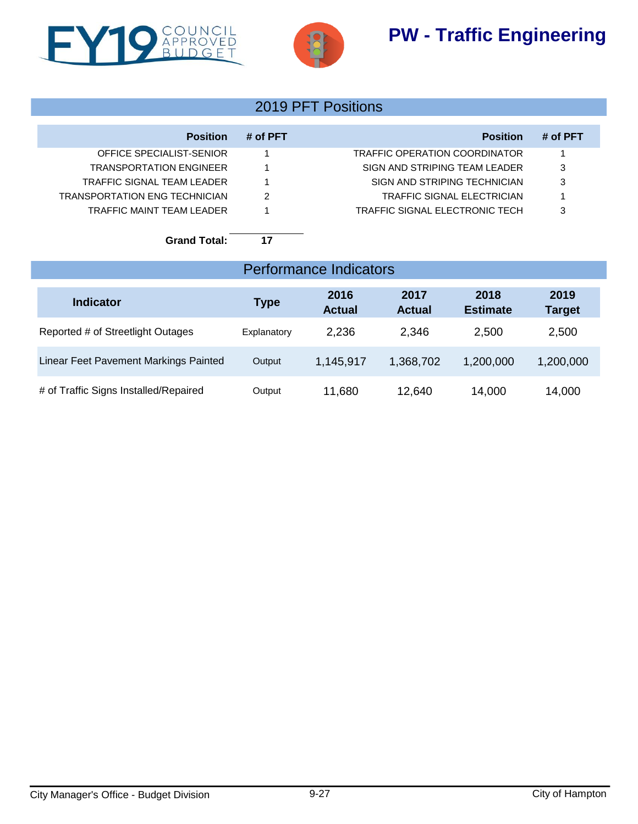# **PW - Traffic Engineering**





# 2019 PFT Positions

| <b>Position</b>                | # of PFT | <b>Position</b>                       | # of PFT |
|--------------------------------|----------|---------------------------------------|----------|
| OFFICE SPECIALIST-SENIOR       |          | TRAFFIC OPERATION COORDINATOR         |          |
| <b>TRANSPORTATION ENGINEER</b> |          | SIGN AND STRIPING TEAM LEADER         | 3        |
| TRAFFIC SIGNAL TEAM LEADER     |          | SIGN AND STRIPING TECHNICIAN          | 3        |
| TRANSPORTATION ENG TECHNICIAN  | 2        | TRAFFIC SIGNAL ELECTRICIAN            |          |
| TRAFFIC MAINT TFAM LEADER      |          | <b>TRAFFIC SIGNAL ELECTRONIC TECH</b> | 3        |
|                                |          |                                       |          |

**Grand Total: 17**

| <b>Performance Indicators</b>         |             |                       |                       |                         |                       |  |
|---------------------------------------|-------------|-----------------------|-----------------------|-------------------------|-----------------------|--|
| <b>Indicator</b>                      | <b>Type</b> | 2016<br><b>Actual</b> | 2017<br><b>Actual</b> | 2018<br><b>Estimate</b> | 2019<br><b>Target</b> |  |
| Reported # of Streetlight Outages     | Explanatory | 2,236                 | 2,346                 | 2,500                   | 2,500                 |  |
| Linear Feet Pavement Markings Painted | Output      | 1,145,917             | 1,368,702             | 1,200,000               | 1,200,000             |  |
| # of Traffic Signs Installed/Repaired | Output      | 11,680                | 12,640                | 14,000                  | 14,000                |  |